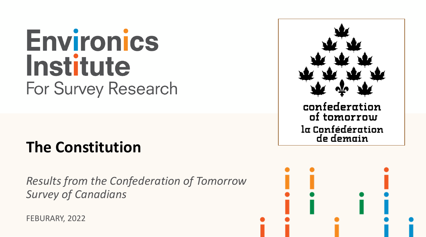# **Environics Institute For Survey Research**

## **The Constitution**

*Results from the Confederation of Tomorrow Survey of Canadians*

FEBURARY, 2022



la Confédération de demain

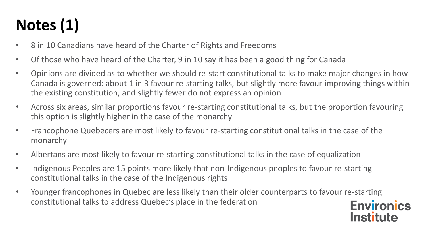## **Notes (1)**

- 8 in 10 Canadians have heard of the Charter of Rights and Freedoms
- Of those who have heard of the Charter, 9 in 10 say it has been a good thing for Canada
- Opinions are divided as to whether we should re-start constitutional talks to make major changes in how Canada is governed: about 1 in 3 favour re-starting talks, but slightly more favour improving things within the existing constitution, and slightly fewer do not express an opinion
- Across six areas, similar proportions favour re-starting constitutional talks, but the proportion favouring this option is slightly higher in the case of the monarchy
- Francophone Quebecers are most likely to favour re-starting constitutional talks in the case of the monarchy
- Albertans are most likely to favour re-starting constitutional talks in the case of equalization
- Indigenous Peoples are 15 points more likely that non-Indigenous peoples to favour re-starting constitutional talks in the case of the Indigenous rights
- Younger francophones in Quebec are less likely than their older counterparts to favour re-starting constitutional talks to address Quebec's place in the federation**Environics**

**Institute**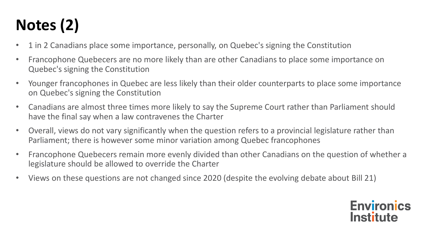## **Notes (2)**

- 1 in 2 Canadians place some importance, personally, on Quebec's signing the Constitution
- Francophone Quebecers are no more likely than are other Canadians to place some importance on Quebec's signing the Constitution
- Younger francophones in Quebec are less likely than their older counterparts to place some importance on Quebec's signing the Constitution
- Canadians are almost three times more likely to say the Supreme Court rather than Parliament should have the final say when a law contravenes the Charter
- Overall, views do not vary significantly when the question refers to a provincial legislature rather than Parliament; there is however some minor variation among Quebec francophones
- Francophone Quebecers remain more evenly divided than other Canadians on the question of whether a legislature should be allowed to override the Charter
- Views on these questions are not changed since 2020 (despite the evolving debate about Bill 21)

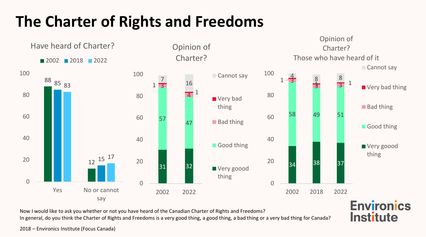## **The Charter of Rights and Freedoms**



**Institute** 

Now I would like to ask you whether or not you have heard of the Canadian Charter of Rights and Freedoms?

In general, do you think the Charter of Rights and Freedoms is a very good thing, a good thing, a bad thing or a very bad thing for Canada?

2018 – Environics Institute (Focus Canada)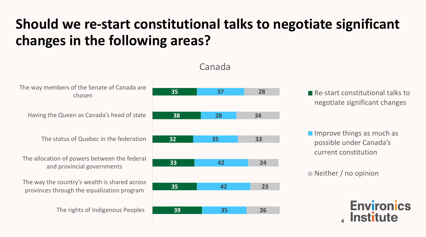

#### Canada

Re-start constitutional talks to negotiate significant changes

 $\blacksquare$  Improve things as much as possible under Canada's current constitution

Neither / no opinion

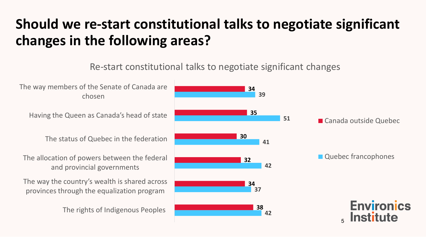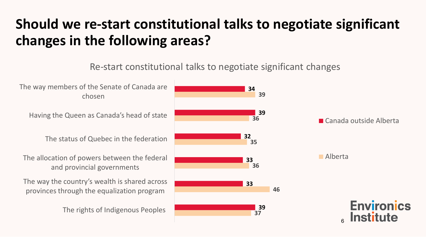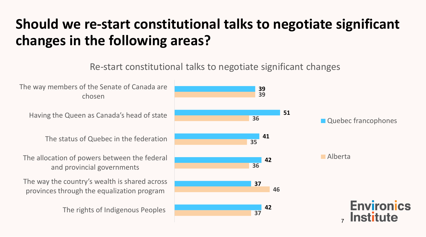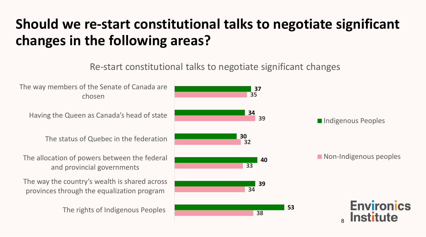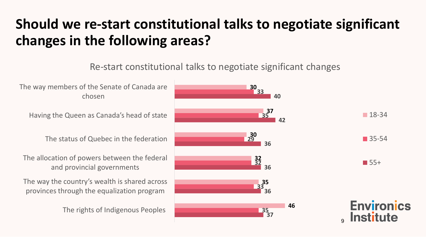Re-start constitutional talks to negotiate significant changes



9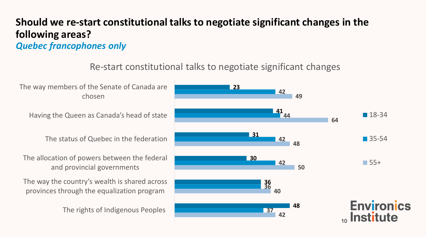#### **Should we re-start constitutional talks to negotiate significant changes in the following areas?** *Quebec francophones only*

#### Re-start constitutional talks to negotiate significant changes

The way members of the Senate of Canada are chosen

Having the Queen as Canada's head of state

The status of Quebec in the federation

The allocation of powers between the federal and provincial governments

The way the country's wealth is shared across provinces through the equalization program

The rights of Indigenous Peoples

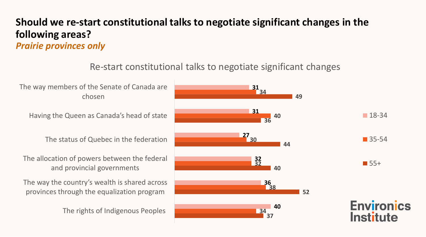#### **Should we re-start constitutional talks to negotiate significant changes in the following areas?** *Prairie provinces only*

#### Re-start constitutional talks to negotiate significant changes

The way members of the Senate of Canada are **31 34** chosen **49 31** Having the Queen as Canada's head of state  $18-34$ **40 36 27** The status of Quebec in the federation ■ 35-54 **30 44** The allocation of powers between the federal **32**  $\blacksquare$  55+ **32** and provincial governments **40** The way the country's wealth is shared across **36 38** provinces through the equalization program **52 Environics 40** The rights of Indigenous Peoples **34 Institute 37**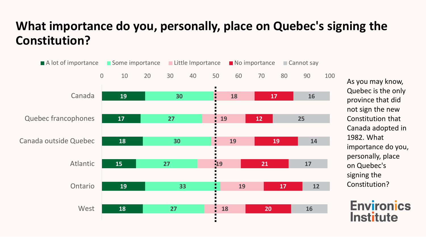### **What importance do you, personally, place on Quebec's signing the Constitution?**



As you may know, Quebec is the only province that did not sign the new Constitution that Canada adopted in 1982. What importance do you, personally, place on Quebec's signing the Constitution?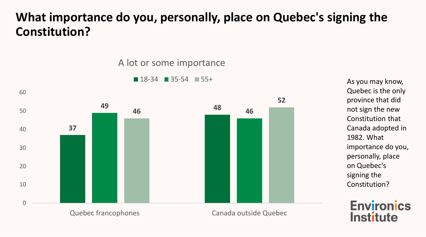### **What importance do you, personally, place on Quebec's signing the Constitution?**

A lot or some importance



As you may know, Quebec is the only province that did not sign the new Constitution that Canada adopted in 1982. What importance do you, personally, place on Quebec's signing the Constitution?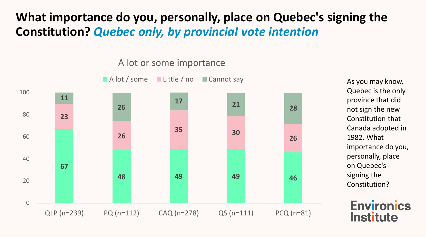### **What importance do you, personally, place on Quebec's signing the Constitution?** *Quebec only, by provincial vote intention*

A lot or some importance



As you may know, Quebec is the only province that did not sign the new Constitution that Canada adopted in 1982. What importance do you, personally, place on Quebec's signing the Constitution?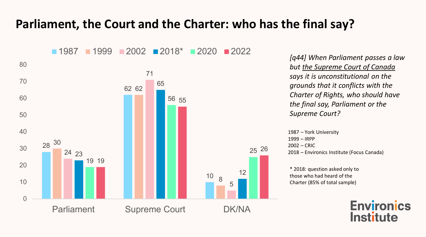

*[q44] When Parliament passes a law but the Supreme Court of Canada says it is unconstitutional on the grounds that it conflicts with the Charter of Rights, who should have the final say, Parliament or the Supreme Court?*

1987 – York University 1999 – IRPP 2002 – CRIC 2018 – Environics Institute (Focus Canada)

\* 2018: question asked only to those who had heard of the Charter (85% of total sample)

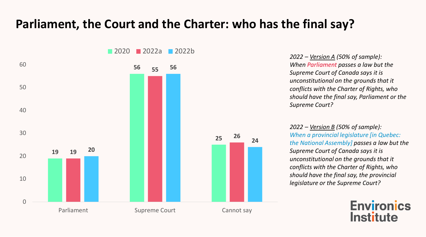

*2022 – Version A (50% of sample): When Parliament passes a law but the Supreme Court of Canada says it is unconstitutional on the grounds that it conflicts with the Charter of Rights, who should have the final say, Parliament or the Supreme Court?*

*2022 – Version B (50% of sample): When a provincial legislature [in Quebec: the National Assembly] passes a law but the Supreme Court of Canada says it is unconstitutional on the grounds that it conflicts with the Charter of Rights, who should have the final say, the provincial legislature or the Supreme Court?*

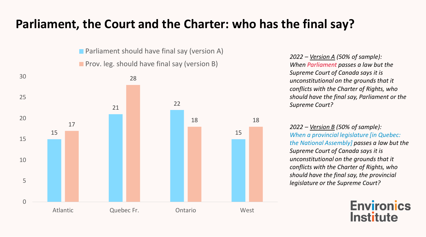**Parliament should have final say (version A) Prov.** leg. should have final say (version B)



*2022 – Version A (50% of sample): When Parliament passes a law but the Supreme Court of Canada says it is unconstitutional on the grounds that it conflicts with the Charter of Rights, who should have the final say, Parliament or the Supreme Court?*

*2022 – Version B (50% of sample): When a provincial legislature [in Quebec: the National Assembly] passes a law but the Supreme Court of Canada says it is unconstitutional on the grounds that it conflicts with the Charter of Rights, who should have the final say, the provincial legislature or the Supreme Court?*

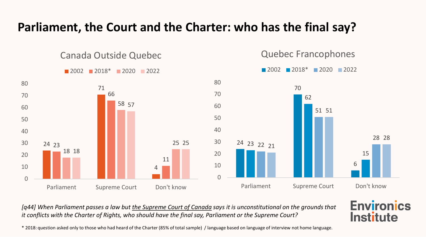

*[q44] When Parliament passes a law but the Supreme Court of Canada says it is unconstitutional on the grounds that it conflicts with the Charter of Rights, who should have the final say, Parliament or the Supreme Court?*

\* 2018: question asked only to those who had heard of the Charter (85% of total sample) / language based on language of interview not home language.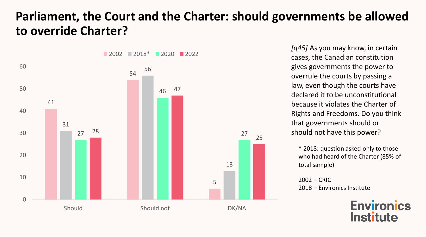### **Parliament, the Court and the Charter: should governments be allowed to override Charter?**



cases, the Canadian constitution gives governments the power to overrule the courts by passing a law, even though the courts have declared it to be unconstitutional because it violates the Charter of Rights and Freedoms. Do you think that governments should or should not have this power?

\* 2018: question asked only to those who had heard of the Charter (85% of total sample)

2002 – CRIC 2018 – Environics Institute

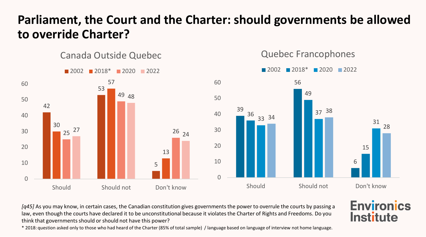### **Parliament, the Court and the Charter: should governments be allowed to override Charter?**



*[q45]* As you may know, in certain cases, the Canadian constitution gives governments the power to overrule the courts by passing a law, even though the courts have declared it to be unconstitutional because it violates the Charter of Rights and Freedoms. Do you think that governments should or should not have this power?

\* 2018: question asked only to those who had heard of the Charter (85% of total sample) / language based on language of interview not home language.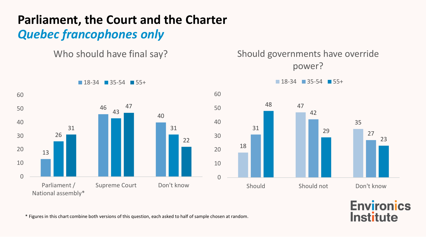## **Parliament, the Court and the Charter** *Quebec francophones only*

Who should have final say?

Should governments have override power?





\* Figures in this chart combine both versions of this question, each asked to half of sample chosen at random.